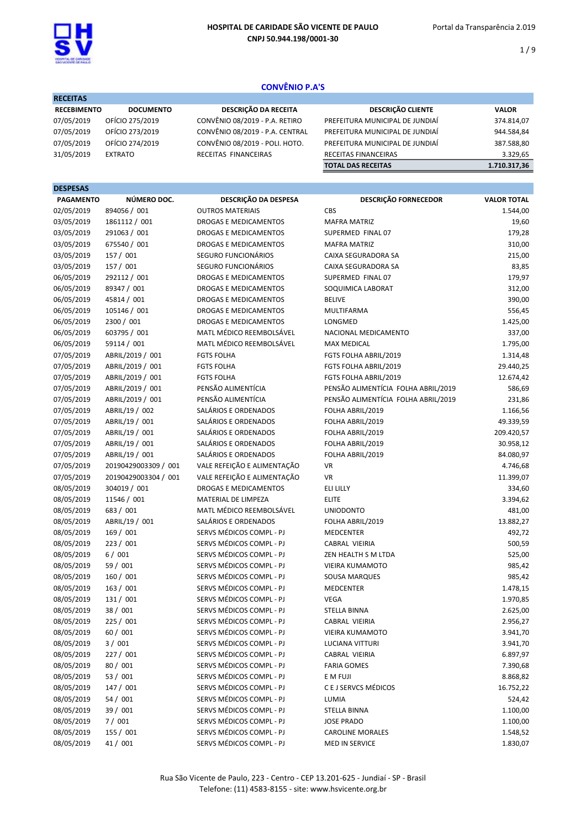

RECEITAS

 $1/9$ 

# CONVÊNIO P.A'S

| <b>RECEITAS</b>    |                  |                                 |                                 |              |
|--------------------|------------------|---------------------------------|---------------------------------|--------------|
| <b>RECEBIMENTO</b> | <b>DOCUMENTO</b> | DESCRIÇÃO DA RECEITA            | <b>DESCRIÇÃO CLIENTE</b>        | <b>VALOR</b> |
| 07/05/2019         | OFÍCIO 275/2019  | CONVÊNIO 08/2019 - P.A. RETIRO  | PREFEITURA MUNICIPAL DE JUNDIAÍ | 374.814,07   |
| 07/05/2019         | OFÍCIO 273/2019  | CONVÊNIO 08/2019 - P.A. CENTRAL | PREFEITURA MUNICIPAL DE JUNDIAÍ | 944.584,84   |
| 07/05/2019         | OFÍCIO 274/2019  | CONVÊNIO 08/2019 - POLI. HOTO.  | PREFEITURA MUNICIPAL DE JUNDIAÍ | 387.588,80   |
| 31/05/2019         | <b>EXTRATO</b>   | RECEITAS FINANCEIRAS            | RECEITAS FINANCEIRAS            | 3.329.65     |
|                    |                  |                                 | <b>TOTAL DAS RECEITAS</b>       | 1.710.317,36 |

| <b>DESPESAS</b>  |                      |                              |                                     |                    |
|------------------|----------------------|------------------------------|-------------------------------------|--------------------|
| <b>PAGAMENTO</b> | NÚMERO DOC.          | DESCRIÇÃO DA DESPESA         | DESCRIÇÃO FORNECEDOR                | <b>VALOR TOTAL</b> |
| 02/05/2019       | 894056 / 001         | <b>OUTROS MATERIAIS</b>      | CBS                                 | 1.544,00           |
| 03/05/2019       | 1861112 / 001        | DROGAS E MEDICAMENTOS        | <b>MAFRA MATRIZ</b>                 | 19,60              |
| 03/05/2019       | 291063 / 001         | DROGAS E MEDICAMENTOS        | SUPERMED FINAL 07                   | 179,28             |
| 03/05/2019       | 675540 / 001         | <b>DROGAS E MEDICAMENTOS</b> | <b>MAFRA MATRIZ</b>                 | 310,00             |
| 03/05/2019       | 157 / 001            | SEGURO FUNCIONÁRIOS          | CAIXA SEGURADORA SA                 | 215,00             |
| 03/05/2019       | 157 / 001            | SEGURO FUNCIONÁRIOS          | CAIXA SEGURADORA SA                 | 83,85              |
| 06/05/2019       | 292112 / 001         | DROGAS E MEDICAMENTOS        | SUPERMED FINAL 07                   | 179,97             |
| 06/05/2019       | 89347 / 001          | <b>DROGAS E MEDICAMENTOS</b> | SOQUIMICA LABORAT                   | 312,00             |
| 06/05/2019       | 45814 / 001          | DROGAS E MEDICAMENTOS        | <b>BELIVE</b>                       | 390,00             |
| 06/05/2019       | 105146 / 001         | DROGAS E MEDICAMENTOS        | MULTIFARMA                          | 556,45             |
| 06/05/2019       | 2300 / 001           | <b>DROGAS E MEDICAMENTOS</b> | LONGMED                             | 1.425,00           |
| 06/05/2019       | 603795 / 001         | MATL MÉDICO REEMBOLSÁVEL     | NACIONAL MEDICAMENTO                | 337,00             |
| 06/05/2019       | 59114 / 001          | MATL MÉDICO REEMBOLSÁVEL     | MAX MEDICAL                         | 1.795,00           |
| 07/05/2019       | ABRIL/2019 / 001     | <b>FGTS FOLHA</b>            | FGTS FOLHA ABRIL/2019               | 1.314,48           |
| 07/05/2019       | ABRIL/2019 / 001     | <b>FGTS FOLHA</b>            | FGTS FOLHA ABRIL/2019               | 29.440,25          |
| 07/05/2019       | ABRIL/2019 / 001     | <b>FGTS FOLHA</b>            | FGTS FOLHA ABRIL/2019               | 12.674,42          |
| 07/05/2019       | ABRIL/2019 / 001     | PENSÃO ALIMENTÍCIA           | PENSÃO ALIMENTÍCIA FOLHA ABRIL/2019 | 586,69             |
| 07/05/2019       | ABRIL/2019 / 001     | PENSÃO ALIMENTÍCIA           | PENSÃO ALIMENTÍCIA FOLHA ABRIL/2019 | 231,86             |
| 07/05/2019       | ABRIL/19 / 002       | SALÁRIOS E ORDENADOS         | FOLHA ABRIL/2019                    | 1.166,56           |
| 07/05/2019       | ABRIL/19 / 001       | SALÁRIOS E ORDENADOS         | FOLHA ABRIL/2019                    | 49.339,59          |
| 07/05/2019       | ABRIL/19 / 001       | SALÁRIOS E ORDENADOS         | FOLHA ABRIL/2019                    | 209.420,57         |
| 07/05/2019       | ABRIL/19 / 001       | SALÁRIOS E ORDENADOS         | FOLHA ABRIL/2019                    | 30.958,12          |
| 07/05/2019       | ABRIL/19 / 001       | SALÁRIOS E ORDENADOS         | FOLHA ABRIL/2019                    | 84.080,97          |
| 07/05/2019       | 20190429003309 / 001 | VALE REFEIÇÃO E ALIMENTAÇÃO  | VR                                  | 4.746,68           |
| 07/05/2019       | 20190429003304 / 001 | VALE REFEIÇÃO E ALIMENTAÇÃO  | VR                                  | 11.399,07          |
| 08/05/2019       | 304019 / 001         | DROGAS E MEDICAMENTOS        | <b>ELI LILLY</b>                    | 334,60             |
| 08/05/2019       | 11546 / 001          | MATERIAL DE LIMPEZA          | <b>ELITE</b>                        | 3.394,62           |
| 08/05/2019       | 683 / 001            | MATL MÉDICO REEMBOLSÁVEL     | <b>UNIODONTO</b>                    | 481,00             |
| 08/05/2019       | ABRIL/19 / 001       | SALÁRIOS E ORDENADOS         | FOLHA ABRIL/2019                    | 13.882,27          |
| 08/05/2019       | 169 / 001            | SERVS MÉDICOS COMPL - PJ     | <b>MEDCENTER</b>                    | 492,72             |
| 08/05/2019       | 223 / 001            | SERVS MÉDICOS COMPL - PJ     | CABRAL VIEIRIA                      | 500,59             |
| 08/05/2019       | 6/001                | SERVS MÉDICOS COMPL - PJ     | ZEN HEALTH S M LTDA                 | 525,00             |
| 08/05/2019       | 59 / 001             | SERVS MÉDICOS COMPL - PJ     | <b>VIEIRA KUMAMOTO</b>              | 985,42             |
| 08/05/2019       | 160 / 001            | SERVS MÉDICOS COMPL - PJ     | SOUSA MARQUES                       | 985,42             |
| 08/05/2019       | 163 / 001            | SERVS MÉDICOS COMPL - PJ     | <b>MEDCENTER</b>                    | 1.478,15           |
| 08/05/2019       | 131 / 001            | SERVS MÉDICOS COMPL - PJ     | <b>VEGA</b>                         | 1.970,85           |
| 08/05/2019       | 38 / 001             | SERVS MÉDICOS COMPL - PJ     | <b>STELLA BINNA</b>                 | 2.625,00           |
| 08/05/2019       | 225 / 001            | SERVS MÉDICOS COMPL - PJ     | CABRAL VIEIRIA                      | 2.956,27           |
| 08/05/2019       | 60/001               | SERVS MÉDICOS COMPL - PJ     | <b>VIEIRA KUMAMOTO</b>              | 3.941,70           |
| 08/05/2019       | 3 / 001              | SERVS MÉDICOS COMPL - PJ     | <b>LUCIANA VITTURI</b>              | 3.941,70           |
| 08/05/2019       | 227 / 001            | SERVS MÉDICOS COMPL - PJ     | CABRAL VIEIRIA                      | 6.897,97           |
| 08/05/2019       | 80 / 001             | SERVS MÉDICOS COMPL - PJ     | <b>FARIA GOMES</b>                  | 7.390,68           |
| 08/05/2019       | 53 / 001             | SERVS MÉDICOS COMPL - PJ     | E M FUJI                            | 8.868,82           |
| 08/05/2019       | 147 / 001            | SERVS MÉDICOS COMPL - PJ     | C E J SERVCS MÉDICOS                | 16.752,22          |
| 08/05/2019       | 54 / 001             | SERVS MÉDICOS COMPL - PJ     | LUMIA                               | 524,42             |
| 08/05/2019       | 39 / 001             | SERVS MÉDICOS COMPL - PJ     | STELLA BINNA                        | 1.100,00           |
| 08/05/2019       | 7/001                | SERVS MÉDICOS COMPL - PJ     | <b>JOSE PRADO</b>                   | 1.100,00           |
| 08/05/2019       | 155 / 001            | SERVS MÉDICOS COMPL - PJ     | <b>CAROLINE MORALES</b>             | 1.548,52           |
| 08/05/2019       | 41/001               | SERVS MÉDICOS COMPL - PJ     | MED IN SERVICE                      | 1.830,07           |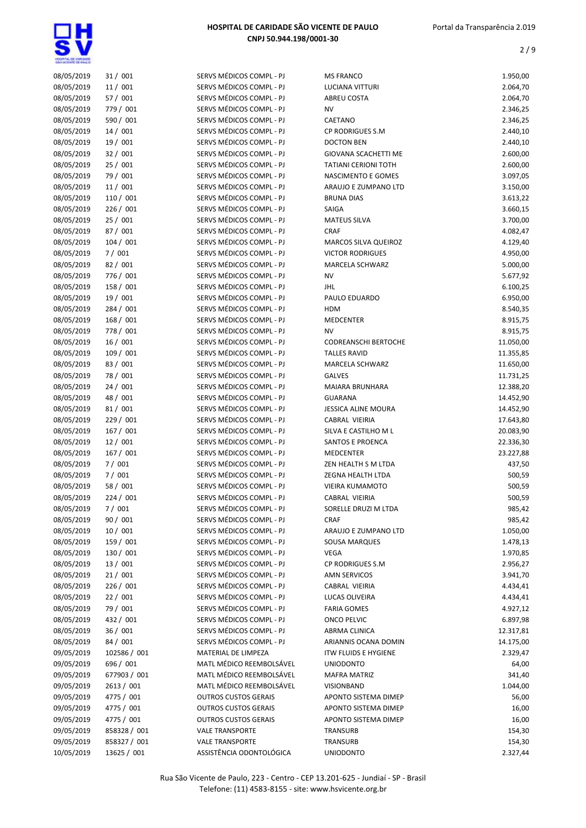

| 08/05/2019 | 31/001       | SERVS MÉDICOS COMPL - PJ    | <b>MS FRANCO</b>            | 1.950,00  |
|------------|--------------|-----------------------------|-----------------------------|-----------|
| 08/05/2019 | 11/001       | SERVS MÉDICOS COMPL - PJ    | LUCIANA VITTURI             | 2.064,70  |
| 08/05/2019 | 57 / 001     | SERVS MÉDICOS COMPL - PJ    | ABREU COSTA                 | 2.064,70  |
| 08/05/2019 | 779 / 001    | SERVS MÉDICOS COMPL - PJ    | <b>NV</b>                   | 2.346,25  |
| 08/05/2019 | 590 / 001    | SERVS MÉDICOS COMPL - PJ    | CAETANO                     | 2.346,25  |
| 08/05/2019 | 14/001       | SERVS MÉDICOS COMPL - PJ    | CP RODRIGUES S.M            | 2.440,10  |
| 08/05/2019 | 19 / 001     | SERVS MÉDICOS COMPL - PJ    | <b>DOCTON BEN</b>           | 2.440,10  |
| 08/05/2019 | 32/001       | SERVS MÉDICOS COMPL - PJ    | GIOVANA SCACHETTI ME        | 2.600,00  |
| 08/05/2019 | 25/001       | SERVS MÉDICOS COMPL - PJ    | <b>TATIANI CERIONI TOTH</b> | 2.600,00  |
|            |              |                             |                             |           |
| 08/05/2019 | 79 / 001     | SERVS MÉDICOS COMPL - PJ    | NASCIMENTO E GOMES          | 3.097,05  |
| 08/05/2019 | 11/001       | SERVS MÉDICOS COMPL - PJ    | ARAUJO E ZUMPANO LTD        | 3.150,00  |
| 08/05/2019 | 110 / 001    | SERVS MÉDICOS COMPL - PJ    | <b>BRUNA DIAS</b>           | 3.613,22  |
| 08/05/2019 | 226 / 001    | SERVS MÉDICOS COMPL - PJ    | SAIGA                       | 3.660,15  |
| 08/05/2019 | 25/001       | SERVS MÉDICOS COMPL - PJ    | <b>MATEUS SILVA</b>         | 3.700,00  |
| 08/05/2019 | 87/001       | SERVS MÉDICOS COMPL - PJ    | <b>CRAF</b>                 | 4.082,47  |
| 08/05/2019 | 104 / 001    | SERVS MÉDICOS COMPL - PJ    | MARCOS SILVA QUEIROZ        | 4.129,40  |
| 08/05/2019 | 7/001        | SERVS MÉDICOS COMPL - PJ    | <b>VICTOR RODRIGUES</b>     | 4.950,00  |
| 08/05/2019 | 82/001       | SERVS MÉDICOS COMPL - PJ    | MARCELA SCHWARZ             | 5.000,00  |
| 08/05/2019 | 776 / 001    | SERVS MÉDICOS COMPL - PJ    | NV                          | 5.677,92  |
| 08/05/2019 | 158 / 001    | SERVS MÉDICOS COMPL - PJ    | <b>JHL</b>                  | 6.100,25  |
| 08/05/2019 | 19/001       | SERVS MÉDICOS COMPL - PJ    | PAULO EDUARDO               | 6.950,00  |
| 08/05/2019 | 284 / 001    | SERVS MÉDICOS COMPL - PJ    | <b>HDM</b>                  | 8.540,35  |
| 08/05/2019 | 168 / 001    | SERVS MÉDICOS COMPL - PJ    | <b>MEDCENTER</b>            | 8.915,75  |
| 08/05/2019 | 778 / 001    | SERVS MÉDICOS COMPL - PJ    | <b>NV</b>                   | 8.915,75  |
| 08/05/2019 | 16/001       | SERVS MÉDICOS COMPL - PJ    | <b>CODREANSCHI BERTOCHE</b> | 11.050,00 |
| 08/05/2019 | 109 / 001    | SERVS MÉDICOS COMPL - PJ    | <b>TALLES RAVID</b>         | 11.355,85 |
| 08/05/2019 | 83 / 001     | SERVS MÉDICOS COMPL - PJ    | MARCELA SCHWARZ             | 11.650,00 |
| 08/05/2019 | 78 / 001     | SERVS MÉDICOS COMPL - PJ    | <b>GALVES</b>               | 11.731,25 |
| 08/05/2019 | 24/001       | SERVS MÉDICOS COMPL - PJ    | MAIARA BRUNHARA             | 12.388,20 |
| 08/05/2019 | 48 / 001     | SERVS MÉDICOS COMPL - PJ    | <b>GUARANA</b>              | 14.452,90 |
| 08/05/2019 | 81/001       | SERVS MÉDICOS COMPL - PJ    | JESSICA ALINE MOURA         | 14.452,90 |
|            | 229 / 001    | SERVS MÉDICOS COMPL - PJ    |                             |           |
| 08/05/2019 |              |                             | CABRAL VIEIRIA              | 17.643,80 |
| 08/05/2019 | 167/001      | SERVS MÉDICOS COMPL - PJ    | SILVA E CASTILHO M L        | 20.083,90 |
| 08/05/2019 | 12 / 001     | SERVS MÉDICOS COMPL - PJ    | SANTOS E PROENCA            | 22.336,30 |
| 08/05/2019 | 167 / 001    | SERVS MÉDICOS COMPL - PJ    | <b>MEDCENTER</b>            | 23.227,88 |
| 08/05/2019 | 7/001        | SERVS MÉDICOS COMPL - PJ    | ZEN HEALTH S M LTDA         | 437,50    |
| 08/05/2019 | 7/001        | SERVS MÉDICOS COMPL - PJ    | ZEGNA HEALTH LTDA           | 500,59    |
| 08/05/2019 | 58 / 001     | SERVS MÉDICOS COMPL - PJ    | VIEIRA KUMAMOTO             | 500,59    |
| 08/05/2019 | 224 / 001    | SERVS MÉDICOS COMPL - PJ    | CABRAL VIEIRIA              | 500,59    |
| 08/05/2019 | 7/001        | SERVS MÉDICOS COMPL - PJ    | SORELLE DRUZI M LTDA        | 985,42    |
| 08/05/2019 | 90 / 001     | SERVS MÉDICOS COMPL - PJ    | <b>CRAF</b>                 | 985,42    |
| 08/05/2019 | 10/001       | SERVS MÉDICOS COMPL - PJ    | ARAUJO E ZUMPANO LTD        | 1.050,00  |
| 08/05/2019 | 159 / 001    | SERVS MÉDICOS COMPL - PJ    | SOUSA MARQUES               | 1.478,13  |
| 08/05/2019 | 130 / 001    | SERVS MÉDICOS COMPL - PJ    | VEGA                        | 1.970,85  |
| 08/05/2019 | 13/001       | SERVS MÉDICOS COMPL - PJ    | CP RODRIGUES S.M            | 2.956,27  |
| 08/05/2019 | 21/001       | SERVS MÉDICOS COMPL - PJ    | AMN SERVICOS                | 3.941,70  |
| 08/05/2019 | 226 / 001    | SERVS MÉDICOS COMPL - PJ    | CABRAL VIEIRIA              | 4.434,41  |
| 08/05/2019 | 22 / 001     | SERVS MÉDICOS COMPL - PJ    | LUCAS OLIVEIRA              | 4.434,41  |
| 08/05/2019 | 79 / 001     | SERVS MÉDICOS COMPL - PJ    | <b>FARIA GOMES</b>          | 4.927,12  |
| 08/05/2019 | 432 / 001    | SERVS MÉDICOS COMPL - PJ    | <b>ONCO PELVIC</b>          | 6.897,98  |
| 08/05/2019 | 36/001       | SERVS MÉDICOS COMPL - PJ    | ABRMA CLINICA               | 12.317,81 |
| 08/05/2019 | 84 / 001     | SERVS MÉDICOS COMPL - PJ    | ARIANNIS OCANA DOMIN        | 14.175,00 |
| 09/05/2019 | 102586 / 001 | MATERIAL DE LIMPEZA         | <b>ITW FLUIDS E HYGIENE</b> | 2.329,47  |
| 09/05/2019 | 696 / 001    | MATL MÉDICO REEMBOLSÁVEL    | <b>UNIODONTO</b>            | 64,00     |
| 09/05/2019 | 677903 / 001 | MATL MÉDICO REEMBOLSÁVEL    | <b>MAFRA MATRIZ</b>         | 341,40    |
| 09/05/2019 | 2613 / 001   | MATL MÉDICO REEMBOLSÁVEL    | VISIONBAND                  | 1.044,00  |
|            |              |                             |                             |           |
| 09/05/2019 | 4775 / 001   | <b>OUTROS CUSTOS GERAIS</b> | APONTO SISTEMA DIMEP        | 56,00     |
| 09/05/2019 | 4775 / 001   | <b>OUTROS CUSTOS GERAIS</b> | APONTO SISTEMA DIMEP        | 16,00     |
| 09/05/2019 | 4775 / 001   | <b>OUTROS CUSTOS GERAIS</b> | APONTO SISTEMA DIMEP        | 16,00     |
| 09/05/2019 | 858328 / 001 | <b>VALE TRANSPORTE</b>      | TRANSURB                    | 154,30    |
| 09/05/2019 | 858327 / 001 | <b>VALE TRANSPORTE</b>      | TRANSURB                    | 154,30    |
| 10/05/2019 | 13625 / 001  | ASSISTÊNCIA ODONTOLÓGICA    | <b>UNIODONTO</b>            | 2.327,44  |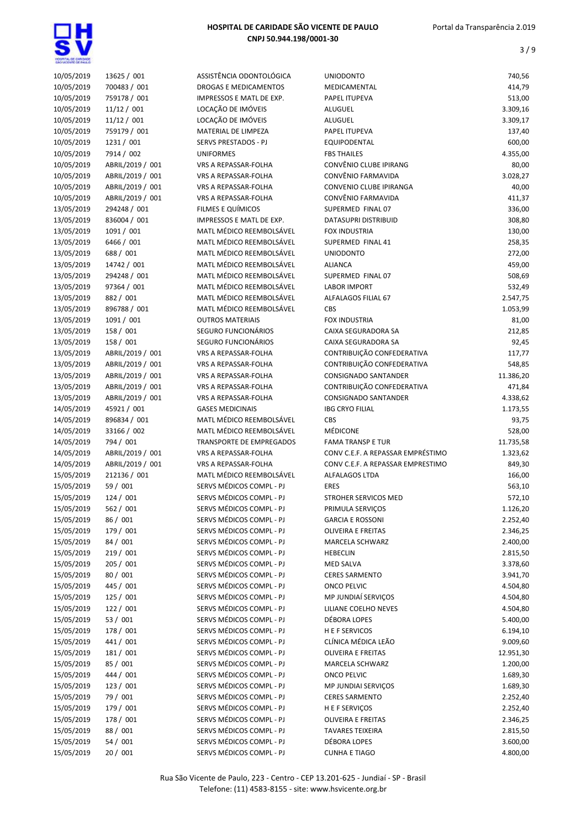

| 10/05/2019               | 13625 / 001      | ASSISTÊNCIA ODONTOLÓGICA        | <b>UNIODONTO</b>                  | 740,56    |
|--------------------------|------------------|---------------------------------|-----------------------------------|-----------|
| 10/05/2019               | 700483 / 001     | DROGAS E MEDICAMENTOS           | MEDICAMENTAL                      | 414,79    |
| 10/05/2019               | 759178 / 001     | <b>IMPRESSOS E MATL DE EXP.</b> | PAPEL ITUPEVA                     | 513,00    |
| 10/05/2019               | 11/12 / 001      | LOCAÇÃO DE IMÓVEIS              | ALUGUEL                           | 3.309,16  |
| 10/05/2019               | 11/12 / 001      | LOCAÇÃO DE IMÓVEIS              | ALUGUEL                           | 3.309,17  |
| 10/05/2019               | 759179 / 001     | MATERIAL DE LIMPEZA             | PAPEL ITUPEVA                     | 137,40    |
| 10/05/2019               | 1231 / 001       | SERVS PRESTADOS - PJ            | EQUIPODENTAL                      | 600,00    |
| 10/05/2019               | 7914 / 002       | <b>UNIFORMES</b>                | <b>FBS THAILES</b>                | 4.355,00  |
| 10/05/2019               | ABRIL/2019 / 001 | VRS A REPASSAR-FOLHA            | CONVÊNIO CLUBE IPIRANG            | 80,00     |
| 10/05/2019               | ABRIL/2019 / 001 | VRS A REPASSAR-FOLHA            | CONVÊNIO FARMAVIDA                | 3.028,27  |
| 10/05/2019               | ABRIL/2019 / 001 | VRS A REPASSAR-FOLHA            | CONVENIO CLUBE IPIRANGA           | 40,00     |
| 10/05/2019               | ABRIL/2019 / 001 | VRS A REPASSAR-FOLHA            | CONVÊNIO FARMAVIDA                | 411,37    |
| 13/05/2019               | 294248 / 001     | FILMES E QUÍMICOS               | SUPERMED FINAL 07                 | 336,00    |
| 13/05/2019               | 836004 / 001     | IMPRESSOS E MATL DE EXP.        | DATASUPRI DISTRIBUID              | 308,80    |
| 13/05/2019               | 1091 / 001       | MATL MÉDICO REEMBOLSÁVEL        | FOX INDUSTRIA                     | 130,00    |
| 13/05/2019               | 6466 / 001       | MATL MÉDICO REEMBOLSÁVEL        | SUPERMED FINAL 41                 | 258,35    |
| 13/05/2019               | 688 / 001        | MATL MÉDICO REEMBOLSÁVEL        | <b>UNIODONTO</b>                  | 272,00    |
| 13/05/2019               | 14742 / 001      | MATL MÉDICO REEMBOLSÁVEL        | <b>ALIANCA</b>                    | 459,00    |
| 13/05/2019               | 294248 / 001     | MATL MÉDICO REEMBOLSÁVEL        | SUPERMED FINAL 07                 | 508,69    |
| 13/05/2019               | 97364 / 001      | MATL MÉDICO REEMBOLSÁVEL        | <b>LABOR IMPORT</b>               | 532,49    |
| 13/05/2019               | 882 / 001        | MATL MÉDICO REEMBOLSÁVEL        | ALFALAGOS FILIAL 67               | 2.547,75  |
| 13/05/2019               | 896788 / 001     | MATL MÉDICO REEMBOLSÁVEL        | <b>CBS</b>                        | 1.053,99  |
|                          |                  | <b>OUTROS MATERIAIS</b>         | <b>FOX INDUSTRIA</b>              |           |
| 13/05/2019<br>13/05/2019 | 1091 / 001       | SEGURO FUNCIONÁRIOS             |                                   | 81,00     |
|                          | 158 / 001        |                                 | CAIXA SEGURADORA SA               | 212,85    |
| 13/05/2019               | 158 / 001        | SEGURO FUNCIONÁRIOS             | CAIXA SEGURADORA SA               | 92,45     |
| 13/05/2019               | ABRIL/2019 / 001 | VRS A REPASSAR-FOLHA            | CONTRIBUIÇÃO CONFEDERATIVA        | 117,77    |
| 13/05/2019               | ABRIL/2019 / 001 | VRS A REPASSAR-FOLHA            | CONTRIBUIÇÃO CONFEDERATIVA        | 548,85    |
| 13/05/2019               | ABRIL/2019 / 001 | VRS A REPASSAR-FOLHA            | CONSIGNADO SANTANDER              | 11.386,20 |
| 13/05/2019               | ABRIL/2019 / 001 | VRS A REPASSAR-FOLHA            | CONTRIBUIÇÃO CONFEDERATIVA        | 471,84    |
| 13/05/2019               | ABRIL/2019 / 001 | VRS A REPASSAR-FOLHA            | CONSIGNADO SANTANDER              | 4.338,62  |
| 14/05/2019               | 45921 / 001      | <b>GASES MEDICINAIS</b>         | <b>IBG CRYO FILIAL</b>            | 1.173,55  |
| 14/05/2019               | 896834 / 001     | MATL MÉDICO REEMBOLSÁVEL        | <b>CBS</b>                        | 93,75     |
| 14/05/2019               | 33166 / 002      | MATL MÉDICO REEMBOLSÁVEL        | MÉDICONE                          | 528,00    |
| 14/05/2019               | 794 / 001        | TRANSPORTE DE EMPREGADOS        | <b>FAMA TRANSP E TUR</b>          | 11.735,58 |
| 14/05/2019               | ABRIL/2019 / 001 | VRS A REPASSAR-FOLHA            | CONV C.E.F. A REPASSAR EMPRÉSTIMO | 1.323,62  |
| 14/05/2019               | ABRIL/2019 / 001 | VRS A REPASSAR-FOLHA            | CONV C.E.F. A REPASSAR EMPRESTIMO | 849,30    |
| 15/05/2019               | 212136 / 001     | MATL MÉDICO REEMBOLSÁVEL        | ALFALAGOS LTDA                    | 166,00    |
| 15/05/2019               | 59 / 001         | SERVS MÉDICOS COMPL - PJ        | <b>ERES</b>                       | 563,10    |
| 15/05/2019               | 124 / 001        | SERVS MÉDICOS COMPL - PJ        | STROHER SERVICOS MED              | 572,10    |
| 15/05/2019               | 562 / 001        | SERVS MÉDICOS COMPL - PJ        | PRIMULA SERVIÇOS                  | 1.126,20  |
| 15/05/2019               | 86 / 001         | SERVS MÉDICOS COMPL - PJ        | <b>GARCIA E ROSSONI</b>           | 2.252,40  |
| 15/05/2019               | 179 / 001        | SERVS MÉDICOS COMPL - PJ        | <b>OLIVEIRA E FREITAS</b>         | 2.346,25  |
| 15/05/2019               | 84 / 001         | SERVS MÉDICOS COMPL - PJ        | <b>MARCELA SCHWARZ</b>            | 2.400,00  |
| 15/05/2019               | 219/001          | SERVS MÉDICOS COMPL - PJ        | <b>HEBECLIN</b>                   | 2.815,50  |
| 15/05/2019               | 205 / 001        | SERVS MÉDICOS COMPL - PJ        | MED SALVA                         | 3.378,60  |
| 15/05/2019               | 80 / 001         | SERVS MÉDICOS COMPL - PJ        | <b>CERES SARMENTO</b>             | 3.941,70  |
| 15/05/2019               | 445 / 001        | SERVS MÉDICOS COMPL - PJ        | <b>ONCO PELVIC</b>                | 4.504,80  |
| 15/05/2019               | 125 / 001        | SERVS MÉDICOS COMPL - PJ        | MP JUNDIAÍ SERVIÇOS               | 4.504,80  |
| 15/05/2019               | 122 / 001        | SERVS MÉDICOS COMPL - PJ        | LILIANE COELHO NEVES              | 4.504,80  |
| 15/05/2019               | 53 / 001         | SERVS MÉDICOS COMPL - PJ        | DÉBORA LOPES                      | 5.400,00  |
| 15/05/2019               | 178 / 001        | SERVS MÉDICOS COMPL - PJ        | <b>HEFSERVICOS</b>                | 6.194,10  |
| 15/05/2019               | 441 / 001        | SERVS MÉDICOS COMPL - PJ        | CLÍNICA MÉDICA LEÃO               | 9.009,60  |
| 15/05/2019               | 181 / 001        | SERVS MÉDICOS COMPL - PJ        | <b>OLIVEIRA E FREITAS</b>         | 12.951,30 |
| 15/05/2019               | 85 / 001         | SERVS MÉDICOS COMPL - PJ        | MARCELA SCHWARZ                   | 1.200,00  |
| 15/05/2019               | 444 / 001        | SERVS MÉDICOS COMPL - PJ        | <b>ONCO PELVIC</b>                | 1.689,30  |
| 15/05/2019               | 123 / 001        | SERVS MÉDICOS COMPL - PJ        | MP JUNDIAI SERVIÇOS               | 1.689,30  |
| 15/05/2019               | 79 / 001         | SERVS MÉDICOS COMPL - PJ        | <b>CERES SARMENTO</b>             | 2.252,40  |
| 15/05/2019               | 179 / 001        | SERVS MÉDICOS COMPL - PJ        | H E F SERVIÇOS                    | 2.252,40  |
| 15/05/2019               | 178 / 001        | SERVS MÉDICOS COMPL - PJ        | <b>OLIVEIRA E FREITAS</b>         | 2.346,25  |
| 15/05/2019               | 88 / 001         | SERVS MÉDICOS COMPL - PJ        | <b>TAVARES TEIXEIRA</b>           | 2.815,50  |
| 15/05/2019               | 54 / 001         | SERVS MÉDICOS COMPL - PJ        | DÉBORA LOPES                      | 3.600,00  |
|                          |                  |                                 |                                   |           |
| 15/05/2019               | 20/001           | SERVS MÉDICOS COMPL - PJ        | <b>CUNHA E TIAGO</b>              | 4.800,00  |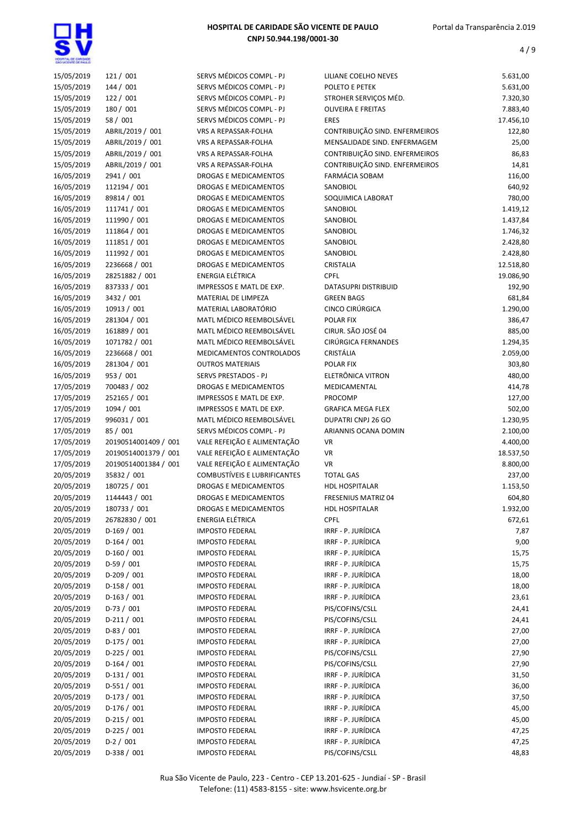

| 15/05/2019 | 121 / 001            | SERVS MÉDICOS COMPL - PJ                             | LILIANE COELHO NEVES           | 5.631,00  |
|------------|----------------------|------------------------------------------------------|--------------------------------|-----------|
| 15/05/2019 | 144 / 001            | SERVS MÉDICOS COMPL - PJ                             | POLETO E PETEK                 | 5.631,00  |
| 15/05/2019 | 122 / 001            | SERVS MÉDICOS COMPL - PJ                             | STROHER SERVIÇOS MÉD.          | 7.320,30  |
| 15/05/2019 | 180 / 001            | SERVS MÉDICOS COMPL - PJ                             | <b>OLIVEIRA E FREITAS</b>      | 7.883,40  |
| 15/05/2019 | 58 / 001             | SERVS MÉDICOS COMPL - PJ                             | <b>ERES</b>                    | 17.456,10 |
| 15/05/2019 | ABRIL/2019 / 001     | VRS A REPASSAR-FOLHA                                 | CONTRIBUIÇÃO SIND. ENFERMEIROS | 122,80    |
| 15/05/2019 | ABRIL/2019 / 001     | VRS A REPASSAR-FOLHA                                 | MENSALIDADE SIND. ENFERMAGEM   | 25,00     |
| 15/05/2019 | ABRIL/2019 / 001     | VRS A REPASSAR-FOLHA                                 | CONTRIBUIÇÃO SIND. ENFERMEIROS | 86,83     |
| 15/05/2019 | ABRIL/2019 / 001     | VRS A REPASSAR-FOLHA                                 | CONTRIBUIÇÃO SIND. ENFERMEIROS | 14,81     |
| 16/05/2019 | 2941 / 001           | DROGAS E MEDICAMENTOS                                | FARMÁCIA SOBAM                 | 116,00    |
| 16/05/2019 | 112194 / 001         | DROGAS E MEDICAMENTOS                                | SANOBIOL                       | 640,92    |
| 16/05/2019 | 89814 / 001          | DROGAS E MEDICAMENTOS                                | SOQUIMICA LABORAT              | 780,00    |
| 16/05/2019 | 111741 / 001         | DROGAS E MEDICAMENTOS                                | SANOBIOL                       | 1.419,12  |
| 16/05/2019 | 111990 / 001         | DROGAS E MEDICAMENTOS                                | SANOBIOL                       | 1.437,84  |
| 16/05/2019 | 111864 / 001         | DROGAS E MEDICAMENTOS                                | SANOBIOL                       | 1.746,32  |
| 16/05/2019 | 111851 / 001         | DROGAS E MEDICAMENTOS                                | SANOBIOL                       | 2.428,80  |
| 16/05/2019 | 111992 / 001         | DROGAS E MEDICAMENTOS                                | SANOBIOL                       | 2.428,80  |
| 16/05/2019 | 2236668 / 001        | <b>DROGAS E MEDICAMENTOS</b>                         | CRISTALIA                      | 12.518,80 |
| 16/05/2019 | 28251882 / 001       | <b>ENERGIA ELÉTRICA</b>                              | <b>CPFL</b>                    | 19.086,90 |
| 16/05/2019 | 837333 / 001         | IMPRESSOS E MATL DE EXP.                             | DATASUPRI DISTRIBUID           | 192,90    |
| 16/05/2019 | 3432 / 001           | MATERIAL DE LIMPEZA                                  | <b>GREEN BAGS</b>              | 681,84    |
| 16/05/2019 | 10913 / 001          | MATERIAL LABORATÓRIO                                 | <b>CINCO CIRÚRGICA</b>         | 1.290,00  |
| 16/05/2019 | 281304 / 001         | MATL MÉDICO REEMBOLSÁVEL                             | POLAR FIX                      | 386,47    |
| 16/05/2019 | 161889 / 001         | MATL MÉDICO REEMBOLSÁVEL                             | CIRUR. SÃO JOSÉ 04             | 885,00    |
|            |                      |                                                      | CIRÚRGICA FERNANDES            |           |
| 16/05/2019 | 1071782 / 001        | MATL MÉDICO REEMBOLSÁVEL<br>MEDICAMENTOS CONTROLADOS | CRISTÁLIA                      | 1.294,35  |
| 16/05/2019 | 2236668 / 001        |                                                      |                                | 2.059,00  |
| 16/05/2019 | 281304 / 001         | <b>OUTROS MATERIAIS</b>                              | <b>POLAR FIX</b>               | 303,80    |
| 16/05/2019 | 953 / 001            | SERVS PRESTADOS - PJ                                 | ELETRÔNICA VITRON              | 480,00    |
| 17/05/2019 | 700483 / 002         | DROGAS E MEDICAMENTOS                                | MEDICAMENTAL                   | 414,78    |
| 17/05/2019 | 252165 / 001         | IMPRESSOS E MATL DE EXP.                             | PROCOMP                        | 127,00    |
| 17/05/2019 | 1094 / 001           | IMPRESSOS E MATL DE EXP.                             | <b>GRAFICA MEGA FLEX</b>       | 502,00    |
| 17/05/2019 | 996031 / 001         | MATL MÉDICO REEMBOLSÁVEL                             | DUPATRI CNPJ 26 GO             | 1.230,95  |
| 17/05/2019 | 85 / 001             | SERVS MÉDICOS COMPL - PJ                             | ARIANNIS OCANA DOMIN           | 2.100,00  |
| 17/05/2019 | 20190514001409 / 001 | VALE REFEIÇÃO E ALIMENTAÇÃO                          | <b>VR</b>                      | 4.400,00  |
| 17/05/2019 | 20190514001379 / 001 | VALE REFEIÇÃO E ALIMENTAÇÃO                          | VR                             | 18.537,50 |
| 17/05/2019 | 20190514001384 / 001 | VALE REFEIÇÃO E ALIMENTAÇÃO                          | <b>VR</b>                      | 8.800,00  |
| 20/05/2019 | 35832 / 001          | <b>COMBUSTÍVEIS E LUBRIFICANTES</b>                  | <b>TOTAL GAS</b>               | 237,00    |
| 20/05/2019 | 180725 / 001         | DROGAS E MEDICAMENTOS                                | <b>HDL HOSPITALAR</b>          | 1.153,50  |
| 20/05/2019 | 1144443 / 001        | DROGAS E MEDICAMENTOS                                | <b>FRESENIUS MATRIZ 04</b>     | 604,80    |
| 20/05/2019 | 180733 / 001         | DROGAS E MEDICAMENTOS                                | HDL HOSPITALAR                 | 1.932,00  |
| 20/05/2019 | 26782830 / 001       | ENERGIA ELÉTRICA                                     | <b>CPFL</b>                    | 672,61    |
| 20/05/2019 | $D-169/001$          | <b>IMPOSTO FEDERAL</b>                               | IRRF - P. JURÍDICA             | 7,87      |
| 20/05/2019 | $D-164 / 001$        | <b>IMPOSTO FEDERAL</b>                               | IRRF - P. JURÍDICA             | 9,00      |
| 20/05/2019 | $D-160/001$          | <b>IMPOSTO FEDERAL</b>                               | IRRF - P. JURÍDICA             | 15,75     |
| 20/05/2019 | $D-59/001$           | <b>IMPOSTO FEDERAL</b>                               | IRRF - P. JURÍDICA             | 15,75     |
| 20/05/2019 | $D-209/001$          | <b>IMPOSTO FEDERAL</b>                               | IRRF - P. JURÍDICA             | 18,00     |
| 20/05/2019 | $D-158/001$          | <b>IMPOSTO FEDERAL</b>                               | IRRF - P. JURÍDICA             | 18,00     |
| 20/05/2019 | $D-163 / 001$        | <b>IMPOSTO FEDERAL</b>                               | IRRF - P. JURÍDICA             | 23,61     |
| 20/05/2019 | $D-73/001$           | <b>IMPOSTO FEDERAL</b>                               | PIS/COFINS/CSLL                | 24,41     |
| 20/05/2019 | $D-211/001$          | <b>IMPOSTO FEDERAL</b>                               | PIS/COFINS/CSLL                | 24,41     |
| 20/05/2019 | $D-83 / 001$         | <b>IMPOSTO FEDERAL</b>                               | IRRF - P. JURÍDICA             | 27,00     |
| 20/05/2019 | $D-175/001$          | <b>IMPOSTO FEDERAL</b>                               | IRRF - P. JURÍDICA             | 27,00     |
| 20/05/2019 | $D-225/001$          | <b>IMPOSTO FEDERAL</b>                               | PIS/COFINS/CSLL                | 27,90     |
| 20/05/2019 | $D-164/001$          | <b>IMPOSTO FEDERAL</b>                               | PIS/COFINS/CSLL                | 27,90     |
| 20/05/2019 | $D-131/001$          | <b>IMPOSTO FEDERAL</b>                               | IRRF - P. JURÍDICA             | 31,50     |
| 20/05/2019 | D-551 / 001          | <b>IMPOSTO FEDERAL</b>                               | IRRF - P. JURÍDICA             | 36,00     |
| 20/05/2019 | $D-173 / 001$        | <b>IMPOSTO FEDERAL</b>                               | IRRF - P. JURÍDICA             | 37,50     |
| 20/05/2019 | $D-176/001$          | <b>IMPOSTO FEDERAL</b>                               | IRRF - P. JURÍDICA             | 45,00     |
| 20/05/2019 | $D-215/001$          | <b>IMPOSTO FEDERAL</b>                               | IRRF - P. JURÍDICA             | 45,00     |
| 20/05/2019 | $D-225 / 001$        | <b>IMPOSTO FEDERAL</b>                               | IRRF - P. JURÍDICA             | 47,25     |
| 20/05/2019 | $D-2/001$            | <b>IMPOSTO FEDERAL</b>                               | IRRF - P. JURÍDICA             | 47,25     |
| 20/05/2019 | D-338 / 001          | <b>IMPOSTO FEDERAL</b>                               | PIS/COFINS/CSLL                | 48,83     |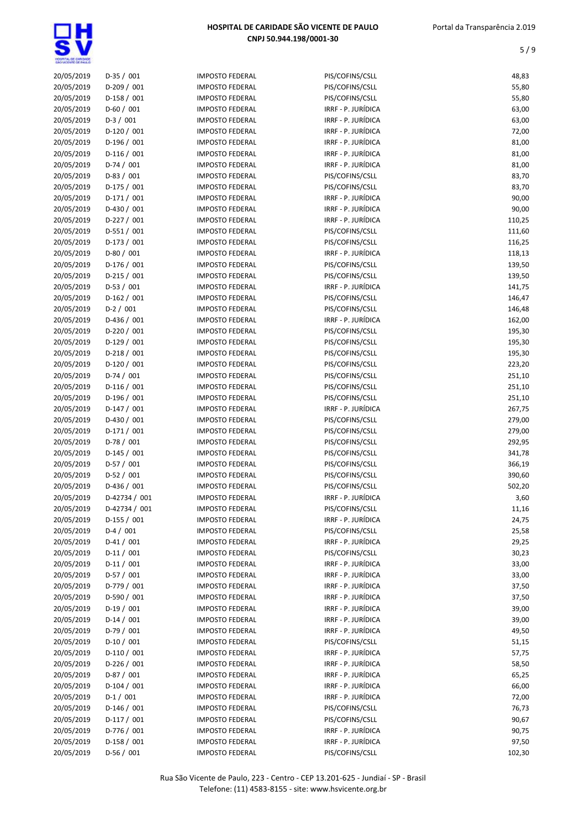| 20/05/2019 | $D-35/001$    | <b>IMPOSTO FEDERAL</b> | PIS/COFINS/CSLL    | 48,83  |
|------------|---------------|------------------------|--------------------|--------|
| 20/05/2019 | D-209 / 001   | <b>IMPOSTO FEDERAL</b> | PIS/COFINS/CSLL    | 55,80  |
| 20/05/2019 | D-158 / 001   | <b>IMPOSTO FEDERAL</b> | PIS/COFINS/CSLL    | 55,80  |
| 20/05/2019 | $D-60/001$    | <b>IMPOSTO FEDERAL</b> | IRRF - P. JURÍDICA | 63,00  |
| 20/05/2019 | $D-3/001$     | <b>IMPOSTO FEDERAL</b> | IRRF - P. JURÍDICA | 63,00  |
| 20/05/2019 | $D-120/001$   | <b>IMPOSTO FEDERAL</b> | IRRF - P. JURÍDICA | 72,00  |
| 20/05/2019 | $D-196/001$   | <b>IMPOSTO FEDERAL</b> | IRRF - P. JURÍDICA | 81,00  |
| 20/05/2019 | $D-116/001$   | <b>IMPOSTO FEDERAL</b> | IRRF - P. JURÍDICA | 81,00  |
| 20/05/2019 | $D-74/001$    | <b>IMPOSTO FEDERAL</b> | IRRF - P. JURÍDICA | 81,00  |
| 20/05/2019 | $D-83 / 001$  | <b>IMPOSTO FEDERAL</b> | PIS/COFINS/CSLL    | 83,70  |
| 20/05/2019 | D-175 / 001   | <b>IMPOSTO FEDERAL</b> | PIS/COFINS/CSLL    | 83,70  |
| 20/05/2019 | $D-171/001$   | <b>IMPOSTO FEDERAL</b> | IRRF - P. JURÍDICA | 90,00  |
| 20/05/2019 | D-430 / 001   | <b>IMPOSTO FEDERAL</b> | IRRF - P. JURÍDICA | 90,00  |
| 20/05/2019 | $D-227/001$   | <b>IMPOSTO FEDERAL</b> | IRRF - P. JURÍDICA | 110,25 |
| 20/05/2019 | $D-551/001$   | <b>IMPOSTO FEDERAL</b> | PIS/COFINS/CSLL    | 111,60 |
| 20/05/2019 | $D-173 / 001$ | <b>IMPOSTO FEDERAL</b> | PIS/COFINS/CSLL    | 116,25 |
| 20/05/2019 | $D-80/001$    | <b>IMPOSTO FEDERAL</b> | IRRF - P. JURÍDICA | 118,13 |
| 20/05/2019 | $D-176/001$   | <b>IMPOSTO FEDERAL</b> | PIS/COFINS/CSLL    | 139,50 |
| 20/05/2019 | $D-215/001$   | <b>IMPOSTO FEDERAL</b> | PIS/COFINS/CSLL    | 139,50 |
| 20/05/2019 | $D-53 / 001$  | <b>IMPOSTO FEDERAL</b> | IRRF - P. JURÍDICA | 141,75 |
| 20/05/2019 | $D-162 / 001$ | <b>IMPOSTO FEDERAL</b> | PIS/COFINS/CSLL    | 146,47 |
| 20/05/2019 | $D-2 / 001$   | <b>IMPOSTO FEDERAL</b> | PIS/COFINS/CSLL    | 146,48 |
| 20/05/2019 | $D-436 / 001$ | <b>IMPOSTO FEDERAL</b> | IRRF - P. JURÍDICA | 162,00 |
| 20/05/2019 | $D-220 / 001$ | <b>IMPOSTO FEDERAL</b> | PIS/COFINS/CSLL    | 195,30 |
| 20/05/2019 | $D-129/001$   | <b>IMPOSTO FEDERAL</b> | PIS/COFINS/CSLL    | 195,30 |
| 20/05/2019 | $D-218/001$   | <b>IMPOSTO FEDERAL</b> | PIS/COFINS/CSLL    | 195,30 |
| 20/05/2019 | $D-120/001$   | <b>IMPOSTO FEDERAL</b> | PIS/COFINS/CSLL    | 223,20 |
| 20/05/2019 | $D-74/001$    | <b>IMPOSTO FEDERAL</b> | PIS/COFINS/CSLL    | 251,10 |
| 20/05/2019 | $D-116/001$   | <b>IMPOSTO FEDERAL</b> | PIS/COFINS/CSLL    | 251,10 |
| 20/05/2019 | $D-196/001$   | <b>IMPOSTO FEDERAL</b> | PIS/COFINS/CSLL    | 251,10 |
| 20/05/2019 | $D-147/001$   | <b>IMPOSTO FEDERAL</b> | IRRF - P. JURÍDICA | 267,75 |
| 20/05/2019 | $D-430 / 001$ | <b>IMPOSTO FEDERAL</b> | PIS/COFINS/CSLL    | 279,00 |
| 20/05/2019 | $D-171/001$   | <b>IMPOSTO FEDERAL</b> | PIS/COFINS/CSLL    | 279,00 |
| 20/05/2019 | $D-78/001$    | <b>IMPOSTO FEDERAL</b> | PIS/COFINS/CSLL    | 292,95 |
| 20/05/2019 | D-145 / 001   | <b>IMPOSTO FEDERAL</b> | PIS/COFINS/CSLL    | 341,78 |
| 20/05/2019 | $D-57/001$    | <b>IMPOSTO FEDERAL</b> | PIS/COFINS/CSLL    | 366,19 |
| 20/05/2019 | $D-52 / 001$  | <b>IMPOSTO FEDERAL</b> | PIS/COFINS/CSLL    | 390,60 |
| 20/05/2019 | $D-436 / 001$ | <b>IMPOSTO FEDERAL</b> | PIS/COFINS/CSLL    | 502,20 |
| 20/05/2019 | D-42734 / 001 | <b>IMPOSTO FEDERAL</b> | IRRF - P. JURÍDICA | 3,60   |
| 20/05/2019 | D-42734 / 001 | <b>IMPOSTO FEDERAL</b> | PIS/COFINS/CSLL    | 11,16  |
| 20/05/2019 | $D-155 / 001$ | <b>IMPOSTO FEDERAL</b> | IRRF - P. JURÍDICA | 24,75  |
| 20/05/2019 | $D-4 / 001$   | <b>IMPOSTO FEDERAL</b> | PIS/COFINS/CSLL    | 25,58  |
| 20/05/2019 | $D-41/001$    | <b>IMPOSTO FEDERAL</b> | IRRF - P. JURÍDICA | 29,25  |
| 20/05/2019 | $D-11/001$    | <b>IMPOSTO FEDERAL</b> | PIS/COFINS/CSLL    | 30,23  |
| 20/05/2019 | $D-11/001$    | <b>IMPOSTO FEDERAL</b> | IRRF - P. JURÍDICA | 33,00  |
| 20/05/2019 | $D-57/001$    | <b>IMPOSTO FEDERAL</b> | IRRF - P. JURÍDICA | 33,00  |
| 20/05/2019 | $D-779/001$   | <b>IMPOSTO FEDERAL</b> | IRRF - P. JURÍDICA | 37,50  |
| 20/05/2019 | $D-590 / 001$ | <b>IMPOSTO FEDERAL</b> | IRRF - P. JURÍDICA | 37,50  |
| 20/05/2019 | $D-19/001$    | <b>IMPOSTO FEDERAL</b> | IRRF - P. JURÍDICA | 39,00  |
| 20/05/2019 | $D-14/001$    | <b>IMPOSTO FEDERAL</b> | IRRF - P. JURÍDICA | 39,00  |
| 20/05/2019 | $D-79/001$    | <b>IMPOSTO FEDERAL</b> | IRRF - P. JURÍDICA | 49,50  |
| 20/05/2019 | $D-10/001$    | <b>IMPOSTO FEDERAL</b> | PIS/COFINS/CSLL    | 51,15  |
| 20/05/2019 | $D-110/001$   | <b>IMPOSTO FEDERAL</b> | IRRF - P. JURÍDICA | 57,75  |
| 20/05/2019 | D-226 / 001   | <b>IMPOSTO FEDERAL</b> | IRRF - P. JURÍDICA | 58,50  |
| 20/05/2019 | $D-87/001$    | <b>IMPOSTO FEDERAL</b> | IRRF - P. JURÍDICA | 65,25  |
| 20/05/2019 | $D-104/001$   | <b>IMPOSTO FEDERAL</b> | IRRF - P. JURÍDICA | 66,00  |
| 20/05/2019 | $D-1/001$     | <b>IMPOSTO FEDERAL</b> | IRRF - P. JURÍDICA | 72,00  |
| 20/05/2019 | D-146 / 001   | <b>IMPOSTO FEDERAL</b> | PIS/COFINS/CSLL    | 76,73  |
| 20/05/2019 | $D-117/001$   | <b>IMPOSTO FEDERAL</b> | PIS/COFINS/CSLL    | 90,67  |
| 20/05/2019 | $D-776/001$   | <b>IMPOSTO FEDERAL</b> | IRRF - P. JURÍDICA | 90,75  |
| 20/05/2019 | $D-158/001$   | <b>IMPOSTO FEDERAL</b> | IRRF - P. JURÍDICA | 97,50  |
| 20/05/2019 | $D-56/001$    | <b>IMPOSTO FEDERAL</b> | PIS/COFINS/CSLL    | 102,30 |
|            |               |                        |                    |        |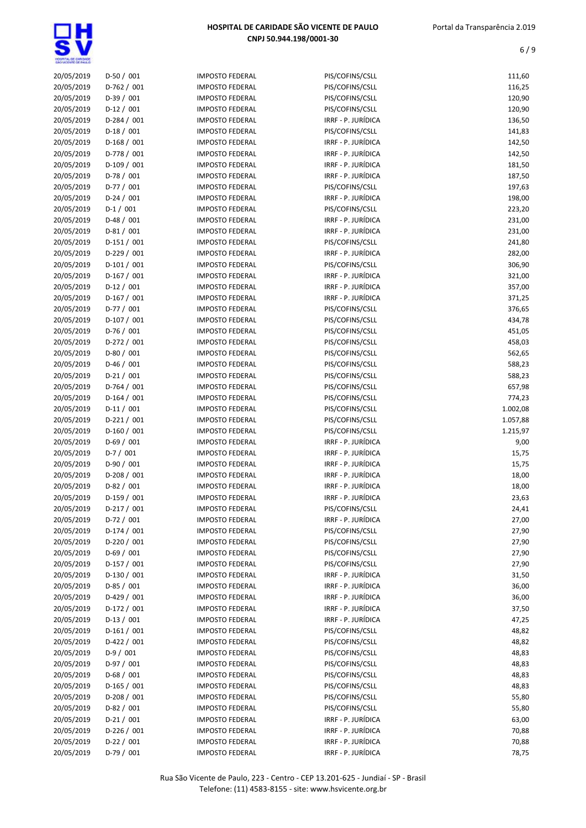| 20/05/2019 | $D-50/001$    | <b>IMPOSTO FEDERAL</b> | PIS/COFINS/CSLL    | 111,60   |
|------------|---------------|------------------------|--------------------|----------|
| 20/05/2019 | D-762 / 001   | <b>IMPOSTO FEDERAL</b> | PIS/COFINS/CSLL    | 116,25   |
| 20/05/2019 | $D-39/001$    | <b>IMPOSTO FEDERAL</b> | PIS/COFINS/CSLL    | 120,90   |
| 20/05/2019 | $D-12 / 001$  | <b>IMPOSTO FEDERAL</b> | PIS/COFINS/CSLL    | 120,90   |
| 20/05/2019 | $D-284 / 001$ | <b>IMPOSTO FEDERAL</b> | IRRF - P. JURÍDICA | 136,50   |
| 20/05/2019 | $D-18/001$    | <b>IMPOSTO FEDERAL</b> | PIS/COFINS/CSLL    | 141,83   |
| 20/05/2019 | $D-168/001$   | <b>IMPOSTO FEDERAL</b> | IRRF - P. JURÍDICA | 142,50   |
| 20/05/2019 | D-778 / 001   | <b>IMPOSTO FEDERAL</b> | IRRF - P. JURÍDICA | 142,50   |
| 20/05/2019 | $D-109/001$   | <b>IMPOSTO FEDERAL</b> | IRRF - P. JURÍDICA | 181,50   |
| 20/05/2019 | $D-78/001$    | <b>IMPOSTO FEDERAL</b> | IRRF - P. JURÍDICA | 187,50   |
| 20/05/2019 | $D-77/001$    | <b>IMPOSTO FEDERAL</b> | PIS/COFINS/CSLL    | 197,63   |
| 20/05/2019 | $D-24/001$    | <b>IMPOSTO FEDERAL</b> | IRRF - P. JURÍDICA | 198,00   |
| 20/05/2019 | $D-1/001$     | <b>IMPOSTO FEDERAL</b> | PIS/COFINS/CSLL    | 223,20   |
| 20/05/2019 | $D-48/001$    | <b>IMPOSTO FEDERAL</b> | IRRF - P. JURÍDICA | 231,00   |
| 20/05/2019 | $D-81/001$    | <b>IMPOSTO FEDERAL</b> | IRRF - P. JURÍDICA | 231,00   |
| 20/05/2019 | $D-151/001$   | <b>IMPOSTO FEDERAL</b> | PIS/COFINS/CSLL    | 241,80   |
| 20/05/2019 | $D-229/001$   | <b>IMPOSTO FEDERAL</b> | IRRF - P. JURÍDICA | 282,00   |
| 20/05/2019 | $D-101/001$   | <b>IMPOSTO FEDERAL</b> | PIS/COFINS/CSLL    | 306,90   |
| 20/05/2019 | $D-167/001$   | <b>IMPOSTO FEDERAL</b> | IRRF - P. JURÍDICA | 321,00   |
| 20/05/2019 | $D-12/001$    | <b>IMPOSTO FEDERAL</b> | IRRF - P. JURÍDICA | 357,00   |
| 20/05/2019 | D-167 / 001   | <b>IMPOSTO FEDERAL</b> | IRRF - P. JURÍDICA | 371,25   |
| 20/05/2019 | $D-77/001$    | <b>IMPOSTO FEDERAL</b> | PIS/COFINS/CSLL    | 376,65   |
| 20/05/2019 | $D-107/001$   | <b>IMPOSTO FEDERAL</b> | PIS/COFINS/CSLL    | 434,78   |
| 20/05/2019 | D-76 / 001    | <b>IMPOSTO FEDERAL</b> | PIS/COFINS/CSLL    | 451,05   |
| 20/05/2019 | D-272 / 001   | <b>IMPOSTO FEDERAL</b> | PIS/COFINS/CSLL    | 458,03   |
| 20/05/2019 | $D-80/001$    | <b>IMPOSTO FEDERAL</b> | PIS/COFINS/CSLL    | 562,65   |
| 20/05/2019 | $D-46/001$    | <b>IMPOSTO FEDERAL</b> | PIS/COFINS/CSLL    | 588,23   |
| 20/05/2019 | $D-21/001$    | <b>IMPOSTO FEDERAL</b> | PIS/COFINS/CSLL    | 588,23   |
| 20/05/2019 | $D-764 / 001$ | <b>IMPOSTO FEDERAL</b> | PIS/COFINS/CSLL    | 657,98   |
| 20/05/2019 | $D-164 / 001$ | <b>IMPOSTO FEDERAL</b> | PIS/COFINS/CSLL    | 774,23   |
| 20/05/2019 | $D-11/001$    | <b>IMPOSTO FEDERAL</b> | PIS/COFINS/CSLL    | 1.002,08 |
| 20/05/2019 | $D-221/001$   | <b>IMPOSTO FEDERAL</b> | PIS/COFINS/CSLL    | 1.057,88 |
| 20/05/2019 | $D-160/001$   | <b>IMPOSTO FEDERAL</b> | PIS/COFINS/CSLL    | 1.215,97 |
| 20/05/2019 | $D-69/001$    | <b>IMPOSTO FEDERAL</b> | IRRF - P. JURÍDICA | 9,00     |
| 20/05/2019 | $D-7/001$     | <b>IMPOSTO FEDERAL</b> | IRRF - P. JURÍDICA | 15,75    |
| 20/05/2019 | D-90 / 001    | <b>IMPOSTO FEDERAL</b> | IRRF - P. JURÍDICA | 15,75    |
| 20/05/2019 | $D-208/001$   | <b>IMPOSTO FEDERAL</b> | IRRF - P. JURÍDICA | 18,00    |
| 20/05/2019 | D-82 / 001    | <b>IMPOSTO FEDERAL</b> | IRRF - P. JURÍDICA | 18,00    |
| 20/05/2019 | $D-159/001$   | <b>IMPOSTO FEDERAL</b> | IRRF - P. JURÍDICA | 23,63    |
| 20/05/2019 | D-217 / 001   | <b>IMPOSTO FEDERAL</b> | PIS/COFINS/CSLL    | 24,41    |
| 20/05/2019 | $D-72/001$    | <b>IMPOSTO FEDERAL</b> | IRRF - P. JURÍDICA | 27,00    |
| 20/05/2019 | D-174 / 001   | <b>IMPOSTO FEDERAL</b> | PIS/COFINS/CSLL    | 27,90    |
| 20/05/2019 | D-220 / 001   | <b>IMPOSTO FEDERAL</b> | PIS/COFINS/CSLL    | 27,90    |
| 20/05/2019 | $D-69/001$    | <b>IMPOSTO FEDERAL</b> | PIS/COFINS/CSLL    | 27,90    |
| 20/05/2019 | $D-157/001$   | <b>IMPOSTO FEDERAL</b> | PIS/COFINS/CSLL    | 27,90    |
| 20/05/2019 | D-130 / 001   | <b>IMPOSTO FEDERAL</b> | IRRF - P. JURÍDICA | 31,50    |
| 20/05/2019 | $D-85/001$    | <b>IMPOSTO FEDERAL</b> | IRRF - P. JURÍDICA | 36,00    |
| 20/05/2019 | $D-429/001$   | <b>IMPOSTO FEDERAL</b> | IRRF - P. JURÍDICA | 36,00    |
| 20/05/2019 | $D-172/001$   | <b>IMPOSTO FEDERAL</b> | IRRF - P. JURÍDICA | 37,50    |
| 20/05/2019 | $D-13 / 001$  | <b>IMPOSTO FEDERAL</b> | IRRF - P. JURÍDICA | 47,25    |
| 20/05/2019 | $D-161/001$   | <b>IMPOSTO FEDERAL</b> | PIS/COFINS/CSLL    | 48,82    |
| 20/05/2019 | $D-422 / 001$ | <b>IMPOSTO FEDERAL</b> | PIS/COFINS/CSLL    | 48,82    |
| 20/05/2019 | $D-9/001$     | <b>IMPOSTO FEDERAL</b> | PIS/COFINS/CSLL    | 48,83    |
| 20/05/2019 | D-97 / 001    | <b>IMPOSTO FEDERAL</b> | PIS/COFINS/CSLL    | 48,83    |
| 20/05/2019 | $D-68/001$    | <b>IMPOSTO FEDERAL</b> | PIS/COFINS/CSLL    | 48,83    |
| 20/05/2019 | D-165 / 001   | <b>IMPOSTO FEDERAL</b> | PIS/COFINS/CSLL    | 48,83    |
| 20/05/2019 | $D-208 / 001$ | <b>IMPOSTO FEDERAL</b> | PIS/COFINS/CSLL    | 55,80    |
| 20/05/2019 | $D-82 / 001$  | <b>IMPOSTO FEDERAL</b> | PIS/COFINS/CSLL    | 55,80    |
| 20/05/2019 | $D-21/001$    | <b>IMPOSTO FEDERAL</b> | IRRF - P. JURÍDICA | 63,00    |
| 20/05/2019 | $D-226/001$   | <b>IMPOSTO FEDERAL</b> | IRRF - P. JURÍDICA | 70,88    |
| 20/05/2019 | $D-22 / 001$  | <b>IMPOSTO FEDERAL</b> | IRRF - P. JURÍDICA | 70,88    |
| 20/05/2019 | D-79 / 001    | <b>IMPOSTO FEDERAL</b> | IRRF - P. JURÍDICA | 78,75    |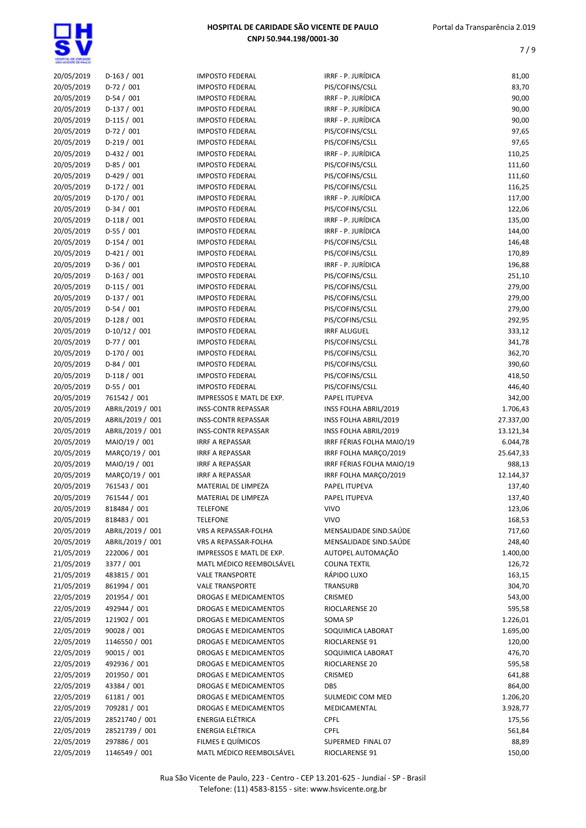| 20/05/2019               | $D-163 / 001$    | <b>IMPOSTO FEDERAL</b>       | IRRF - P. JURÍDICA        | 81,00                 |
|--------------------------|------------------|------------------------------|---------------------------|-----------------------|
| 20/05/2019               | $D-72/001$       | <b>IMPOSTO FEDERAL</b>       | PIS/COFINS/CSLL           | 83,70                 |
| 20/05/2019               | $D-54/001$       | <b>IMPOSTO FEDERAL</b>       | IRRF - P. JURÍDICA        | 90,00                 |
| 20/05/2019               | $D-137/001$      | <b>IMPOSTO FEDERAL</b>       | IRRF - P. JURÍDICA        | 90,00                 |
| 20/05/2019               | $D-115/001$      | <b>IMPOSTO FEDERAL</b>       | IRRF - P. JURÍDICA        | 90,00                 |
| 20/05/2019               | $D-72/001$       | <b>IMPOSTO FEDERAL</b>       | PIS/COFINS/CSLL           | 97,65                 |
| 20/05/2019               | $D-219/001$      | <b>IMPOSTO FEDERAL</b>       | PIS/COFINS/CSLL           | 97,65                 |
| 20/05/2019               | $D-432 / 001$    | <b>IMPOSTO FEDERAL</b>       | IRRF - P. JURÍDICA        | 110,25                |
| 20/05/2019               | $D-85/001$       | <b>IMPOSTO FEDERAL</b>       | PIS/COFINS/CSLL           | 111,60                |
| 20/05/2019               | $D-429/001$      | <b>IMPOSTO FEDERAL</b>       | PIS/COFINS/CSLL           | 111,60                |
| 20/05/2019               | $D-172 / 001$    | <b>IMPOSTO FEDERAL</b>       | PIS/COFINS/CSLL           | 116,25                |
| 20/05/2019               | $D-170/001$      | <b>IMPOSTO FEDERAL</b>       | IRRF - P. JURÍDICA        | 117,00                |
| 20/05/2019               | $D-34/001$       | <b>IMPOSTO FEDERAL</b>       | PIS/COFINS/CSLL           | 122,06                |
| 20/05/2019               | $D-118/001$      | <b>IMPOSTO FEDERAL</b>       | IRRF - P. JURÍDICA        | 135,00                |
| 20/05/2019               | $D-55/001$       | <b>IMPOSTO FEDERAL</b>       | IRRF - P. JURÍDICA        | 144,00                |
| 20/05/2019               | $D-154 / 001$    | <b>IMPOSTO FEDERAL</b>       | PIS/COFINS/CSLL           | 146,48                |
| 20/05/2019               | $D-421/001$      | <b>IMPOSTO FEDERAL</b>       | PIS/COFINS/CSLL           | 170,89                |
| 20/05/2019               | $D-36/001$       | <b>IMPOSTO FEDERAL</b>       | IRRF - P. JURÍDICA        | 196,88                |
| 20/05/2019               | $D-163 / 001$    | <b>IMPOSTO FEDERAL</b>       | PIS/COFINS/CSLL           | 251,10                |
| 20/05/2019               | $D-115/001$      | <b>IMPOSTO FEDERAL</b>       | PIS/COFINS/CSLL           | 279,00                |
| 20/05/2019               | $D-137/001$      | <b>IMPOSTO FEDERAL</b>       | PIS/COFINS/CSLL           | 279,00                |
| 20/05/2019               | $D-54/001$       | <b>IMPOSTO FEDERAL</b>       | PIS/COFINS/CSLL           | 279,00                |
| 20/05/2019               | $D-128/001$      | <b>IMPOSTO FEDERAL</b>       | PIS/COFINS/CSLL           | 292,95                |
| 20/05/2019               | $D-10/12 / 001$  | <b>IMPOSTO FEDERAL</b>       | <b>IRRF ALUGUEL</b>       | 333,12                |
| 20/05/2019               | $D-77/001$       | <b>IMPOSTO FEDERAL</b>       | PIS/COFINS/CSLL           | 341,78                |
| 20/05/2019               | $D-170/001$      | <b>IMPOSTO FEDERAL</b>       | PIS/COFINS/CSLL           | 362,70                |
| 20/05/2019               | $D-84/001$       | <b>IMPOSTO FEDERAL</b>       | PIS/COFINS/CSLL           | 390,60                |
| 20/05/2019               | $D-118/001$      | <b>IMPOSTO FEDERAL</b>       | PIS/COFINS/CSLL           | 418,50                |
| 20/05/2019               | $D-55/001$       | <b>IMPOSTO FEDERAL</b>       | PIS/COFINS/CSLL           | 446,40                |
| 20/05/2019               | 761542 / 001     | IMPRESSOS E MATL DE EXP.     | PAPEL ITUPEVA             | 342,00                |
| 20/05/2019               | ABRIL/2019 / 001 | <b>INSS-CONTR REPASSAR</b>   | INSS FOLHA ABRIL/2019     | 1.706,43              |
| 20/05/2019               | ABRIL/2019 / 001 | <b>INSS-CONTR REPASSAR</b>   | INSS FOLHA ABRIL/2019     | 27.337,00             |
| 20/05/2019               | ABRIL/2019 / 001 | <b>INSS-CONTR REPASSAR</b>   | INSS FOLHA ABRIL/2019     |                       |
|                          |                  |                              |                           | 13.121,34<br>6.044,78 |
| 20/05/2019               | MAIO/19 / 001    | <b>IRRF A REPASSAR</b>       | IRRF FÉRIAS FOLHA MAIO/19 |                       |
| 20/05/2019<br>20/05/2019 | MARÇO/19 / 001   | <b>IRRF A REPASSAR</b>       | IRRF FOLHA MARÇO/2019     | 25.647,33             |
|                          | MAIO/19 / 001    | <b>IRRF A REPASSAR</b>       | IRRF FÉRIAS FOLHA MAIO/19 | 988,13                |
| 20/05/2019               | MARCO/19 / 001   | <b>IRRF A REPASSAR</b>       | IRRF FOLHA MARÇO/2019     | 12.144,37             |
| 20/05/2019               | 761543 / 001     | MATERIAL DE LIMPEZA          | PAPEL ITUPEVA             | 137,40                |
| 20/05/2019               | 761544 / 001     | MATERIAL DE LIMPEZA          | PAPEL ITUPEVA             | 137,40                |
| 20/05/2019               | 818484 / 001     | TELEFONE                     | VIVO                      | 123,06                |
| 20/05/2019               | 818483 / 001     | <b>TELEFONE</b>              | <b>VIVO</b>               | 168,53                |
| 20/05/2019               | ABRIL/2019 / 001 | VRS A REPASSAR-FOLHA         | MENSALIDADE SIND.SAÚDE    | 717,60                |
| 20/05/2019               | ABRIL/2019 / 001 | VRS A REPASSAR-FOLHA         | MENSALIDADE SIND.SAÚDE    | 248,40                |
| 21/05/2019               | 222006 / 001     | IMPRESSOS E MATL DE EXP.     | AUTOPEL AUTOMAÇÃO         | 1.400,00              |
| 21/05/2019               | 3377 / 001       | MATL MÉDICO REEMBOLSÁVEL     | <b>COLINA TEXTIL</b>      | 126,72                |
| 21/05/2019               | 483815 / 001     | <b>VALE TRANSPORTE</b>       | RÁPIDO LUXO               | 163,15                |
| 21/05/2019               | 861994 / 001     | <b>VALE TRANSPORTE</b>       | TRANSURB                  | 304,70                |
| 22/05/2019               | 201954 / 001     | DROGAS E MEDICAMENTOS        | CRISMED                   | 543,00                |
| 22/05/2019               | 492944 / 001     | <b>DROGAS E MEDICAMENTOS</b> | RIOCLARENSE 20            | 595,58                |
| 22/05/2019               | 121902 / 001     | DROGAS E MEDICAMENTOS        | SOMA SP                   | 1.226,01              |
| 22/05/2019               | 90028 / 001      | DROGAS E MEDICAMENTOS        | SOQUIMICA LABORAT         | 1.695,00              |
| 22/05/2019               | 1146550 / 001    | DROGAS E MEDICAMENTOS        | RIOCLARENSE 91            | 120,00                |
| 22/05/2019               | 90015 / 001      | DROGAS E MEDICAMENTOS        | SOQUIMICA LABORAT         | 476,70                |
| 22/05/2019               | 492936 / 001     | DROGAS E MEDICAMENTOS        | RIOCLARENSE 20            | 595,58                |
| 22/05/2019               | 201950 / 001     | DROGAS E MEDICAMENTOS        | CRISMED                   | 641,88                |
| 22/05/2019               | 43384 / 001      | DROGAS E MEDICAMENTOS        | DBS                       | 864,00                |
| 22/05/2019               | 61181 / 001      | DROGAS E MEDICAMENTOS        | SULMEDIC COM MED          | 1.206,20              |
| 22/05/2019               | 709281 / 001     | DROGAS E MEDICAMENTOS        | MEDICAMENTAL              | 3.928,77              |
| 22/05/2019               | 28521740 / 001   | ENERGIA ELÉTRICA             | <b>CPFL</b>               | 175,56                |
| 22/05/2019               | 28521739 / 001   | ENERGIA ELÉTRICA             | <b>CPFL</b>               | 561,84                |
| 22/05/2019               | 297886 / 001     | FILMES E QUÍMICOS            | SUPERMED FINAL 07         | 88,89                 |
| 22/05/2019               | 1146549 / 001    | MATL MÉDICO REEMBOLSÁVEL     | RIOCLARENSE 91            | 150,00                |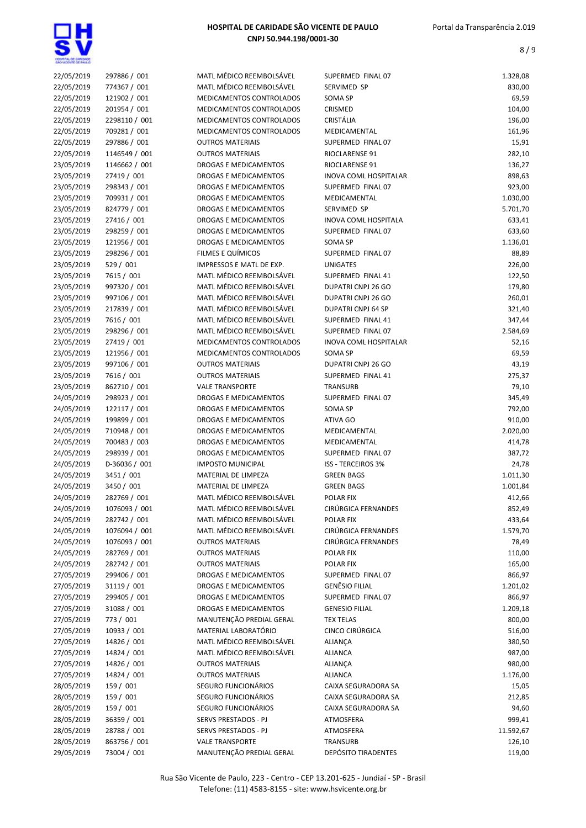

| 22/05/2019 | 297886 / 001  | MATL MÉDICO REEMBOLSÁVEL | SUPERMED FINAL 07            | 1.328,08  |
|------------|---------------|--------------------------|------------------------------|-----------|
| 22/05/2019 | 774367 / 001  | MATL MÉDICO REEMBOLSÁVEL | SERVIMED SP                  | 830,00    |
| 22/05/2019 | 121902 / 001  | MEDICAMENTOS CONTROLADOS | SOMA SP                      | 69,59     |
| 22/05/2019 | 201954 / 001  | MEDICAMENTOS CONTROLADOS | CRISMED                      | 104,00    |
| 22/05/2019 | 2298110 / 001 | MEDICAMENTOS CONTROLADOS | CRISTÁLIA                    | 196,00    |
| 22/05/2019 | 709281 / 001  | MEDICAMENTOS CONTROLADOS | MEDICAMENTAL                 | 161,96    |
| 22/05/2019 | 297886 / 001  | <b>OUTROS MATERIAIS</b>  | SUPERMED FINAL 07            | 15,91     |
| 22/05/2019 | 1146549 / 001 | <b>OUTROS MATERIAIS</b>  | RIOCLARENSE 91               | 282,10    |
| 23/05/2019 | 1146662 / 001 | DROGAS E MEDICAMENTOS    | RIOCLARENSE 91               | 136,27    |
| 23/05/2019 | 27419 / 001   | DROGAS E MEDICAMENTOS    | <b>INOVA COML HOSPITALAR</b> | 898,63    |
| 23/05/2019 | 298343 / 001  | DROGAS E MEDICAMENTOS    | SUPERMED FINAL 07            | 923,00    |
| 23/05/2019 | 709931 / 001  | DROGAS E MEDICAMENTOS    | MEDICAMENTAL                 | 1.030,00  |
| 23/05/2019 | 824779 / 001  | DROGAS E MEDICAMENTOS    | SERVIMED SP                  | 5.701,70  |
| 23/05/2019 | 27416 / 001   | DROGAS E MEDICAMENTOS    | <b>INOVA COML HOSPITALA</b>  | 633,41    |
| 23/05/2019 | 298259 / 001  | DROGAS E MEDICAMENTOS    | SUPERMED FINAL 07            | 633,60    |
| 23/05/2019 | 121956 / 001  | DROGAS E MEDICAMENTOS    | SOMA SP                      | 1.136,01  |
| 23/05/2019 | 298296 / 001  | FILMES E QUÍMICOS        | SUPERMED FINAL 07            | 88,89     |
| 23/05/2019 | 529 / 001     | IMPRESSOS E MATL DE EXP. | <b>UNIGATES</b>              | 226,00    |
| 23/05/2019 | 7615 / 001    | MATL MÉDICO REEMBOLSÁVEL | SUPERMED FINAL 41            | 122,50    |
| 23/05/2019 | 997320 / 001  | MATL MÉDICO REEMBOLSÁVEL | <b>DUPATRI CNPJ 26 GO</b>    | 179,80    |
| 23/05/2019 | 997106 / 001  | MATL MÉDICO REEMBOLSÁVEL | DUPATRI CNPJ 26 GO           | 260,01    |
| 23/05/2019 | 217839 / 001  | MATL MÉDICO REEMBOLSÁVEL | DUPATRI CNPJ 64 SP           | 321,40    |
| 23/05/2019 | 7616 / 001    | MATL MÉDICO REEMBOLSÁVEL | SUPERMED FINAL 41            | 347,44    |
| 23/05/2019 | 298296 / 001  | MATL MÉDICO REEMBOLSÁVEL | SUPERMED FINAL 07            | 2.584,69  |
| 23/05/2019 | 27419 / 001   | MEDICAMENTOS CONTROLADOS | INOVA COML HOSPITALAR        | 52,16     |
| 23/05/2019 | 121956 / 001  | MEDICAMENTOS CONTROLADOS | SOMA SP                      | 69,59     |
| 23/05/2019 | 997106 / 001  |                          | DUPATRI CNPJ 26 GO           | 43,19     |
|            |               | <b>OUTROS MATERIAIS</b>  | SUPERMED FINAL 41            |           |
| 23/05/2019 | 7616 / 001    | <b>OUTROS MATERIAIS</b>  |                              | 275,37    |
| 23/05/2019 | 862710 / 001  | <b>VALE TRANSPORTE</b>   | TRANSURB                     | 79,10     |
| 24/05/2019 | 298923 / 001  | DROGAS E MEDICAMENTOS    | SUPERMED FINAL 07            | 345,49    |
| 24/05/2019 | 122117 / 001  | DROGAS E MEDICAMENTOS    | SOMA SP                      | 792,00    |
| 24/05/2019 | 199899 / 001  | DROGAS E MEDICAMENTOS    | ATIVA GO                     | 910,00    |
| 24/05/2019 | 710948 / 001  | DROGAS E MEDICAMENTOS    | MEDICAMENTAL                 | 2.020,00  |
| 24/05/2019 | 700483 / 003  | DROGAS E MEDICAMENTOS    | MEDICAMENTAL                 | 414,78    |
| 24/05/2019 | 298939 / 001  | DROGAS E MEDICAMENTOS    | SUPERMED FINAL 07            | 387,72    |
| 24/05/2019 | D-36036 / 001 | <b>IMPOSTO MUNICIPAL</b> | <b>ISS - TERCEIROS 3%</b>    | 24,78     |
| 24/05/2019 | 3451 / 001    | MATERIAL DE LIMPEZA      | <b>GREEN BAGS</b>            | 1.011,30  |
| 24/05/2019 | 3450 / 001    | MATERIAL DE LIMPEZA      | <b>GREEN BAGS</b>            | 1.001,84  |
| 24/05/2019 | 282769 / 001  | MATL MÉDICO REEMBOLSÁVEL | POLAR FIX                    | 412,66    |
| 24/05/2019 | 1076093 / 001 | MATL MÉDICO REEMBOLSÁVEL | CIRÚRGICA FERNANDES          | 852,49    |
| 24/05/2019 | 282742 / 001  | MATL MÉDICO REEMBOLSÁVEL | POLAR FIX                    | 433,64    |
| 24/05/2019 | 1076094 / 001 | MATL MÉDICO REEMBOLSÁVEL | CIRÚRGICA FERNANDES          | 1.579,70  |
| 24/05/2019 | 1076093 / 001 | <b>OUTROS MATERIAIS</b>  | CIRÚRGICA FERNANDES          | 78,49     |
| 24/05/2019 | 282769 / 001  | <b>OUTROS MATERIAIS</b>  | POLAR FIX                    | 110,00    |
| 24/05/2019 | 282742 / 001  | <b>OUTROS MATERIAIS</b>  | POLAR FIX                    | 165,00    |
| 27/05/2019 | 299406 / 001  | DROGAS E MEDICAMENTOS    | SUPERMED FINAL 07            | 866,97    |
| 27/05/2019 | 31119 / 001   | DROGAS E MEDICAMENTOS    | <b>GENÊSIO FILIAL</b>        | 1.201,02  |
| 27/05/2019 | 299405 / 001  | DROGAS E MEDICAMENTOS    | SUPERMED FINAL 07            | 866,97    |
| 27/05/2019 | 31088 / 001   | DROGAS E MEDICAMENTOS    | <b>GENESIO FILIAL</b>        | 1.209,18  |
| 27/05/2019 | 773 / 001     | MANUTENÇÃO PREDIAL GERAL | <b>TEX TELAS</b>             | 800,00    |
| 27/05/2019 | 10933 / 001   | MATERIAL LABORATÓRIO     | CINCO CIRÚRGICA              | 516,00    |
| 27/05/2019 | 14826 / 001   | MATL MÉDICO REEMBOLSÁVEL | <b>ALIANÇA</b>               | 380,50    |
| 27/05/2019 | 14824 / 001   | MATL MÉDICO REEMBOLSÁVEL | <b>ALIANCA</b>               | 987,00    |
| 27/05/2019 | 14826 / 001   | <b>OUTROS MATERIAIS</b>  | ALIANÇA                      | 980,00    |
| 27/05/2019 | 14824 / 001   | <b>OUTROS MATERIAIS</b>  | <b>ALIANCA</b>               | 1.176,00  |
| 28/05/2019 | 159 / 001     | SEGURO FUNCIONÁRIOS      | CAIXA SEGURADORA SA          | 15,05     |
| 28/05/2019 | 159 / 001     | SEGURO FUNCIONÁRIOS      | CAIXA SEGURADORA SA          | 212,85    |
| 28/05/2019 | 159 / 001     | SEGURO FUNCIONÁRIOS      | CAIXA SEGURADORA SA          | 94,60     |
| 28/05/2019 | 36359 / 001   | SERVS PRESTADOS - PJ     | ATMOSFERA                    | 999,41    |
| 28/05/2019 | 28788 / 001   | SERVS PRESTADOS - PJ     | ATMOSFERA                    | 11.592,67 |
| 28/05/2019 | 863756 / 001  | <b>VALE TRANSPORTE</b>   | TRANSURB                     | 126,10    |
| 29/05/2019 | 73004 / 001   | MANUTENÇÃO PREDIAL GERAL | DEPÓSITO TIRADENTES          | 119,00    |
|            |               |                          |                              |           |